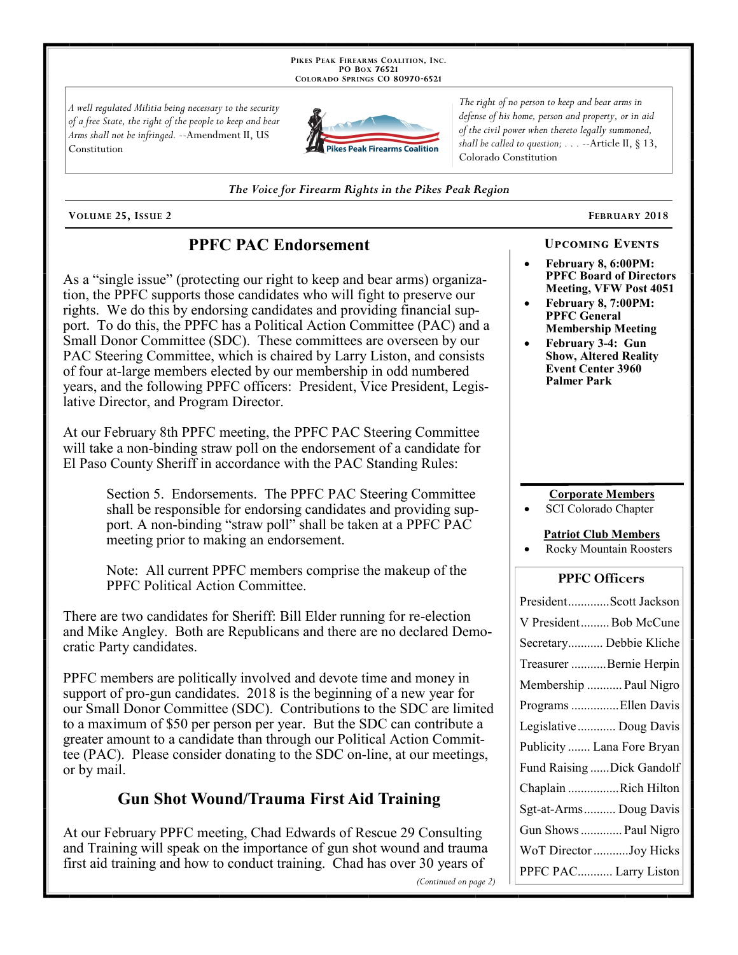PIKES PEAK FIREARMS COALITION, INC. PO Box 76521 COLORADO SPRINGS CO 80970-6521

A well regulated Militia being necessary to the security of a free State, the right of the people to keep and bear Arms shall not be infringed. --Amendment II, US Constitution



The right of no person to keep and bear arms in defense of his home, person and property, or in aid of the civil power when thereto legally summoned, shall be called to question;  $\ldots$  --Article II, § 13, Colorado Constitution

The Voice for Firearm Rights in the Pikes Peak Region

VOLUME 25, ISSUE 2

## **PPFC PAC Endorsement**

As a "single issue" (protecting our right to keep and bear arms) organization, the PPFC supports those candidates who will fight to preserve our rights. We do this by endorsing candidates and providing financial support. To do this, the PPFC has a Political Action Committee (PAC) and a Small Donor Committee (SDC). These committees are overseen by our PAC Steering Committee, which is chaired by Larry Liston, and consists of four at-large members elected by our membership in odd numbered years, and the following PPFC officers: President, Vice President, Legislative Director, and Program Director.

At our February 8th PPFC meeting, the PPFC PAC Steering Committee will take a non-binding straw poll on the endorsement of a candidate for El Paso County Sheriff in accordance with the PAC Standing Rules:

> Section 5. Endorsements. The PPFC PAC Steering Committee shall be responsible for endorsing candidates and providing support. A non-binding "straw poll" shall be taken at a PPFC PAC meeting prior to making an endorsement.

Note: All current PPFC members comprise the makeup of the PPFC Political Action Committee.

There are two candidates for Sheriff: Bill Elder running for re-election and Mike Angley. Both are Republicans and there are no declared Democratic Party candidates.

PPFC members are politically involved and devote time and money in support of pro-gun candidates. 2018 is the beginning of a new year for our Small Donor Committee (SDC). Contributions to the SDC are limited to a maximum of \$50 per person per year. But the SDC can contribute a greater amount to a candidate than through our Political Action Committee (PAC). Please consider donating to the SDC on-line, at our meetings, or by mail.

## **Gun Shot Wound/Trauma First Aid Training**

At our February PPFC meeting, Chad Edwards of Rescue 29 Consulting and Training will speak on the importance of gun shot wound and trauma first aid training and how to conduct training. Chad has over 30 years of

(Continued on page 2)

# FEBRUARY 2018

#### February 8, 6:00PM: **PPFC Board of Directors** Meeting, VFW Post 4051

**UPCOMING EVENTS** 

- February 8, 7:00PM: **PPFC General Membership Meeting**
- February 3-4: Gun **Show, Altered Reality Event Center 3960 Palmer Park**

#### **Corporate Members**

**SCI Colorado Chapter** 

#### **Patriot Club Members**

**Rocky Mountain Roosters** 

#### **PPFC Officers**

| PresidentScott Jackson     |
|----------------------------|
| V President Bob McCune     |
| Secretary Debbie Kliche    |
| Treasurer Bernie Herpin    |
| Membership  Paul Nigro     |
| Programs Ellen Davis       |
| Legislative  Doug Davis    |
| Publicity  Lana Fore Bryan |
| Fund Raising Dick Gandolf  |
| Chaplain Rich Hilton       |
| Sgt-at-Arms Doug Davis     |
| Gun Shows  Paul Nigro      |
| WoT Director Joy Hicks     |
| PPFC PAC Larry Liston      |